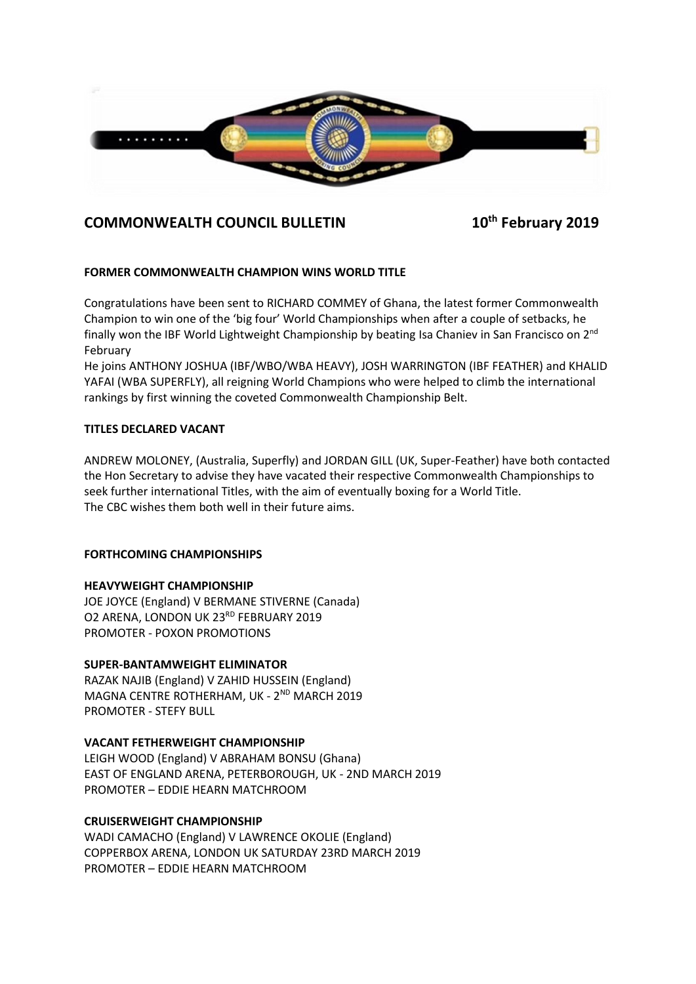

## **COMMONWEALTH COUNCIL BULLETIN**

# **th February 2019**

## **FORMER COMMONWEALTH CHAMPION WINS WORLD TITLE**

Congratulations have been sent to RICHARD COMMEY of Ghana, the latest former Commonwealth Champion to win one of the 'big four' World Championships when after a couple of setbacks, he finally won the IBF World Lightweight Championship by beating Isa Chaniev in San Francisco on 2nd February

He joins ANTHONY JOSHUA (IBF/WBO/WBA HEAVY), JOSH WARRINGTON (IBF FEATHER) and KHALID YAFAI (WBA SUPERFLY), all reigning World Champions who were helped to climb the international rankings by first winning the coveted Commonwealth Championship Belt.

### **TITLES DECLARED VACANT**

ANDREW MOLONEY, (Australia, Superfly) and JORDAN GILL (UK, Super-Feather) have both contacted the Hon Secretary to advise they have vacated their respective Commonwealth Championships to seek further international Titles, with the aim of eventually boxing for a World Title. The CBC wishes them both well in their future aims.

### **FORTHCOMING CHAMPIONSHIPS**

### **HEAVYWEIGHT CHAMPIONSHIP**

JOE JOYCE (England) V BERMANE STIVERNE (Canada) O2 ARENA, LONDON UK 23<sup>RD</sup> FEBRUARY 2019 PROMOTER - POXON PROMOTIONS

### **SUPER-BANTAMWEIGHT ELIMINATOR**

RAZAK NAJIB (England) V ZAHID HUSSEIN (England) MAGNA CENTRE ROTHERHAM, UK - 2<sup>ND</sup> MARCH 2019 PROMOTER - STEFY BULL

## **VACANT FETHERWEIGHT CHAMPIONSHIP**

LEIGH WOOD (England) V ABRAHAM BONSU (Ghana) EAST OF ENGLAND ARENA, PETERBOROUGH, UK - 2ND MARCH 2019 PROMOTER – EDDIE HEARN MATCHROOM

### **CRUISERWEIGHT CHAMPIONSHIP**

WADI CAMACHO (England) V LAWRENCE OKOLIE (England) COPPERBOX ARENA, LONDON UK SATURDAY 23RD MARCH 2019 PROMOTER – EDDIE HEARN MATCHROOM